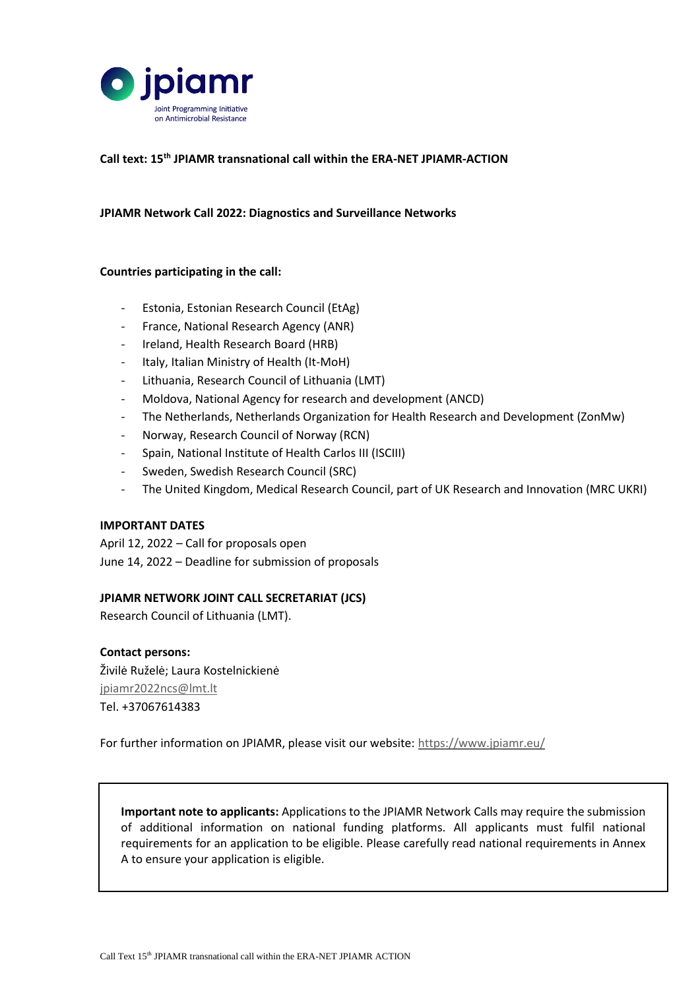

#### **Call text: 15th JPIAMR transnational call within the ERA-NET JPIAMR-ACTION**

#### **JPIAMR Network Call 2022: Diagnostics and Surveillance Networks**

#### **Countries participating in the call:**

- Estonia, Estonian Research Council (EtAg)
- France, National Research Agency (ANR)
- Ireland, Health Research Board (HRB)
- Italy, Italian Ministry of Health (It-MoH)
- Lithuania, Research Council of Lithuania (LMT)
- Moldova, National Agency for research and development (ANCD)
- The Netherlands, Netherlands Organization for Health Research and Development (ZonMw)
- Norway, Research Council of Norway (RCN)
- Spain, National Institute of Health Carlos III (ISCIII)
- Sweden, Swedish Research Council (SRC)
- The United Kingdom, Medical Research Council, part of UK Research and Innovation (MRC UKRI)

#### **IMPORTANT DATES**

April 12, 2022 – Call for proposals open June 14, 2022 – Deadline for submission of proposals

#### **JPIAMR NETWORK JOINT CALL SECRETARIAT (JCS)**

Research Council of Lithuania (LMT).

**Contact persons:** Živilė Ruželė; Laura Kostelnickienė [jpiamr2022ncs@lmt.lt](mailto:jpiamr2022ncs@lmt.lt)

Tel. +37067614383

For further information on JPIAMR, please visit our website:<https://www.jpiamr.eu/>

**Important note to applicants:** Applications to the JPIAMR Network Calls may require the submission of additional information on national funding platforms. All applicants must fulfil national requirements for an application to be eligible. Please carefully read national requirements in Annex A to ensure your application is eligible.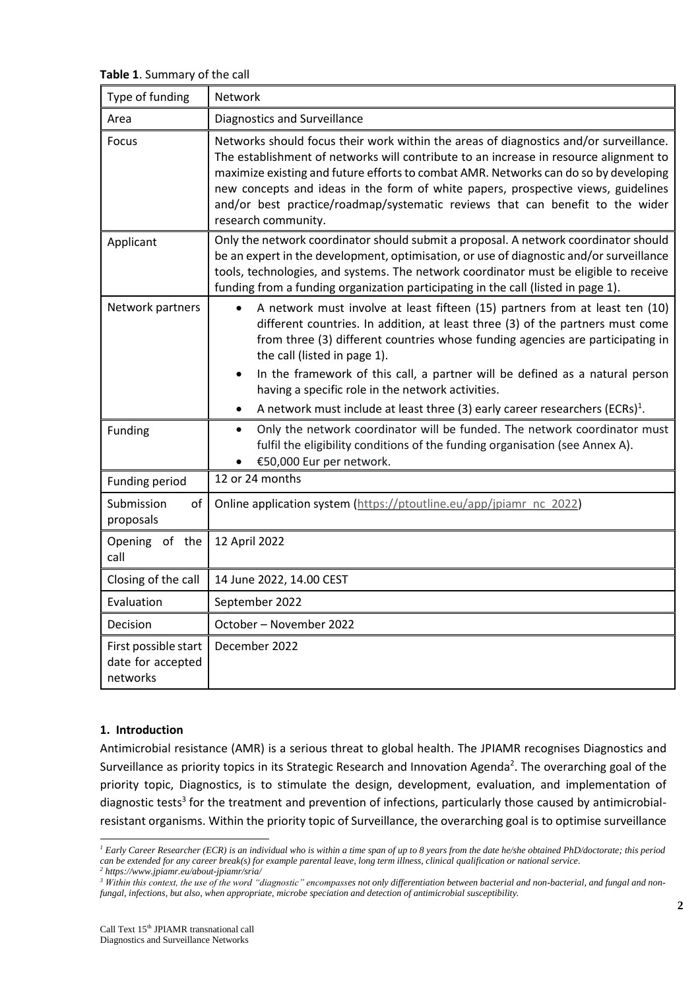**Table 1**. Summary of the call

| Type of funding                                       | Network                                                                                                                                                                                                                                                                                                                                                                                                                                                                                                           |  |
|-------------------------------------------------------|-------------------------------------------------------------------------------------------------------------------------------------------------------------------------------------------------------------------------------------------------------------------------------------------------------------------------------------------------------------------------------------------------------------------------------------------------------------------------------------------------------------------|--|
| Area                                                  | Diagnostics and Surveillance                                                                                                                                                                                                                                                                                                                                                                                                                                                                                      |  |
| Focus                                                 | Networks should focus their work within the areas of diagnostics and/or surveillance.<br>The establishment of networks will contribute to an increase in resource alignment to<br>maximize existing and future efforts to combat AMR. Networks can do so by developing<br>new concepts and ideas in the form of white papers, prospective views, guidelines<br>and/or best practice/roadmap/systematic reviews that can benefit to the wider<br>research community.                                               |  |
| Applicant                                             | Only the network coordinator should submit a proposal. A network coordinator should<br>be an expert in the development, optimisation, or use of diagnostic and/or surveillance<br>tools, technologies, and systems. The network coordinator must be eligible to receive<br>funding from a funding organization participating in the call (listed in page 1).                                                                                                                                                      |  |
| Network partners                                      | A network must involve at least fifteen (15) partners from at least ten (10)<br>different countries. In addition, at least three (3) of the partners must come<br>from three (3) different countries whose funding agencies are participating in<br>the call (listed in page 1).<br>In the framework of this call, a partner will be defined as a natural person<br>having a specific role in the network activities.<br>A network must include at least three (3) early career researchers (ECRs) <sup>1</sup> . |  |
| Funding                                               | Only the network coordinator will be funded. The network coordinator must<br>$\bullet$<br>fulfil the eligibility conditions of the funding organisation (see Annex A).<br>€50,000 Eur per network.                                                                                                                                                                                                                                                                                                                |  |
| Funding period                                        | 12 or 24 months                                                                                                                                                                                                                                                                                                                                                                                                                                                                                                   |  |
| of<br>Submission<br>proposals                         | Online application system (https://ptoutline.eu/app/jpiamr_nc_2022)                                                                                                                                                                                                                                                                                                                                                                                                                                               |  |
| Opening of the<br>call                                | 12 April 2022                                                                                                                                                                                                                                                                                                                                                                                                                                                                                                     |  |
| Closing of the call                                   | 14 June 2022, 14.00 CEST                                                                                                                                                                                                                                                                                                                                                                                                                                                                                          |  |
| Evaluation                                            | September 2022                                                                                                                                                                                                                                                                                                                                                                                                                                                                                                    |  |
| Decision                                              | October - November 2022                                                                                                                                                                                                                                                                                                                                                                                                                                                                                           |  |
| First possible start<br>date for accepted<br>networks | December 2022                                                                                                                                                                                                                                                                                                                                                                                                                                                                                                     |  |

#### **1. Introduction**

-

Antimicrobial resistance (AMR) is a serious threat to global health. The JPIAMR recognises Diagnostics and Surveillance as priority topics in its Strategic Research and Innovation Agenda<sup>2</sup>. The overarching goal of the priority topic, Diagnostics, is to stimulate the design, development, evaluation, and implementation of diagnostic tests<sup>3</sup> for the treatment and prevention of infections, particularly those caused by antimicrobialresistant organisms. Within the priority topic of Surveillance, the overarching goal is to optimise surveillance

*<sup>1</sup> Early Career Researcher (ECR) is an individual who is within a time span of up to 8 years from the date he/she obtained PhD/doctorate; this period can be extended for any career break(s) for example parental leave, long term illness, clinical qualification or national service. <sup>2</sup> https://www.jpiamr.eu/about-jpiamr/sria/*

*<sup>3</sup> Within this context, the use of the word "diagnostic" encompasses not only differentiation between bacterial and non-bacterial, and fungal and nonfungal, infections, but also, when appropriate, microbe speciation and detection of antimicrobial susceptibility.*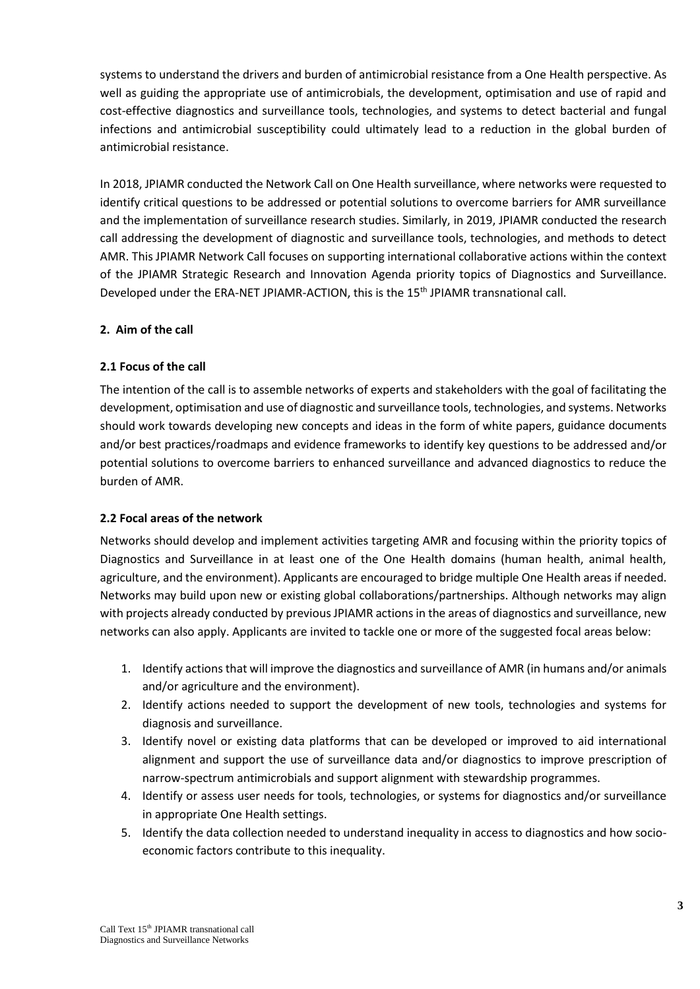systems to understand the drivers and burden of antimicrobial resistance from a One Health perspective. As well as guiding the appropriate use of antimicrobials, the development, optimisation and use of rapid and cost-effective diagnostics and surveillance tools, technologies, and systems to detect bacterial and fungal infections and antimicrobial susceptibility could ultimately lead to a reduction in the global burden of antimicrobial resistance.

In 2018, JPIAMR conducted the Network Call on One Health surveillance, where networks were requested to identify critical questions to be addressed or potential solutions to overcome barriers for AMR surveillance and the implementation of surveillance research studies. Similarly, in 2019, JPIAMR conducted the research call addressing the development of diagnostic and surveillance tools, technologies, and methods to detect AMR. This JPIAMR Network Call focuses on supporting international collaborative actions within the context of the JPIAMR Strategic Research and Innovation Agenda priority topics of Diagnostics and Surveillance. Developed under the ERA-NET JPIAMR-ACTION, this is the 15th JPIAMR transnational call.

# **2. Aim of the call**

# **2.1 Focus of the call**

The intention of the call is to assemble networks of experts and stakeholders with the goal of facilitating the development, optimisation and use of diagnostic and surveillance tools, technologies, and systems. Networks should work towards developing new concepts and ideas in the form of white papers, guidance documents and/or best practices/roadmaps and evidence frameworks to identify key questions to be addressed and/or potential solutions to overcome barriers to enhanced surveillance and advanced diagnostics to reduce the burden of AMR.

#### **2.2 Focal areas of the network**

Networks should develop and implement activities targeting AMR and focusing within the priority topics of Diagnostics and Surveillance in at least one of the One Health domains (human health, animal health, agriculture, and the environment). Applicants are encouraged to bridge multiple One Health areas if needed. Networks may build upon new or existing global collaborations/partnerships. Although networks may align with projects already conducted by previous JPIAMR actions in the areas of diagnostics and surveillance, new networks can also apply. Applicants are invited to tackle one or more of the suggested focal areas below:

- 1. Identify actions that will improve the diagnostics and surveillance of AMR (in humans and/or animals and/or agriculture and the environment).
- 2. Identify actions needed to support the development of new tools, technologies and systems for diagnosis and surveillance.
- 3. Identify novel or existing data platforms that can be developed or improved to aid international alignment and support the use of surveillance data and/or diagnostics to improve prescription of narrow-spectrum antimicrobials and support alignment with stewardship programmes.
- 4. Identify or assess user needs for tools, technologies, or systems for diagnostics and/or surveillance in appropriate One Health settings.
- 5. Identify the data collection needed to understand inequality in access to diagnostics and how socioeconomic factors contribute to this inequality.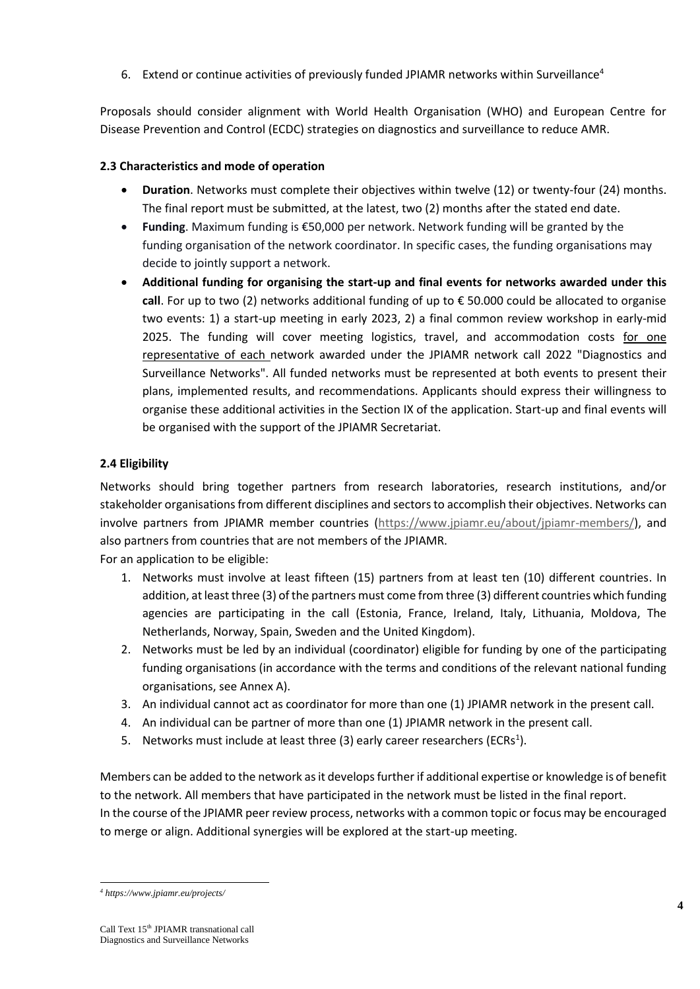6. Extend or continue activities of previously funded JPIAMR networks within Surveillance<sup>4</sup>

Proposals should consider alignment with World Health Organisation (WHO) and European Centre for Disease Prevention and Control (ECDC) strategies on diagnostics and surveillance to reduce AMR.

# **2.3 Characteristics and mode of operation**

- **Duration**. Networks must complete their objectives within twelve (12) or twenty-four (24) months. The final report must be submitted, at the latest, two (2) months after the stated end date.
- **Funding**. Maximum funding is €50,000 per network. Network funding will be granted by the funding organisation of the network coordinator. In specific cases, the funding organisations may decide to jointly support a network.
- **Additional funding for organising the start-up and final events for networks awarded under this call**. For up to two (2) networks additional funding of up to € 50.000 could be allocated to organise two events: 1) a start-up meeting in early 2023, 2) a final common review workshop in early-mid 2025. The funding will cover meeting logistics, travel, and accommodation costs for one representative of each network awarded under the JPIAMR network call 2022 "Diagnostics and Surveillance Networks". All funded networks must be represented at both events to present their plans, implemented results, and recommendations. Applicants should express their willingness to organise these additional activities in the Section IX of the application. Start-up and final events will be organised with the support of the JPIAMR Secretariat.

# **2.4 Eligibility**

Networks should bring together partners from research laboratories, research institutions, and/or stakeholder organisations from different disciplines and sectors to accomplish their objectives. Networks can involve partners from JPIAMR member countries [\(https://www.jpiamr.eu/about/jpiamr-members/\)](https://www.jpiamr.eu/about/jpiamr-members/), and also partners from countries that are not members of the JPIAMR.

For an application to be eligible:

- 1. Networks must involve at least fifteen (15) partners from at least ten (10) different countries. In addition, at least three (3) of the partners must come from three (3) different countries which funding agencies are participating in the call (Estonia, France, Ireland, Italy, Lithuania, Moldova, The Netherlands, Norway, Spain, Sweden and the United Kingdom).
- 2. Networks must be led by an individual (coordinator) eligible for funding by one of the participating funding organisations (in accordance with the terms and conditions of the relevant national funding organisations, see Annex A).
- 3. An individual cannot act as coordinator for more than one (1) JPIAMR network in the present call.
- 4. An individual can be partner of more than one (1) JPIAMR network in the present call.
- 5. Networks must include at least three (3) early career researchers (ECRs<sup>1</sup>).

Members can be added to the network as it develops further if additional expertise or knowledge is of benefit to the network. All members that have participated in the network must be listed in the final report. In the course of the JPIAMR peer review process, networks with a common topic or focus may be encouraged to merge or align. Additional synergies will be explored at the start-up meeting.

-

*<sup>4</sup> https://www.jpiamr.eu/projects/*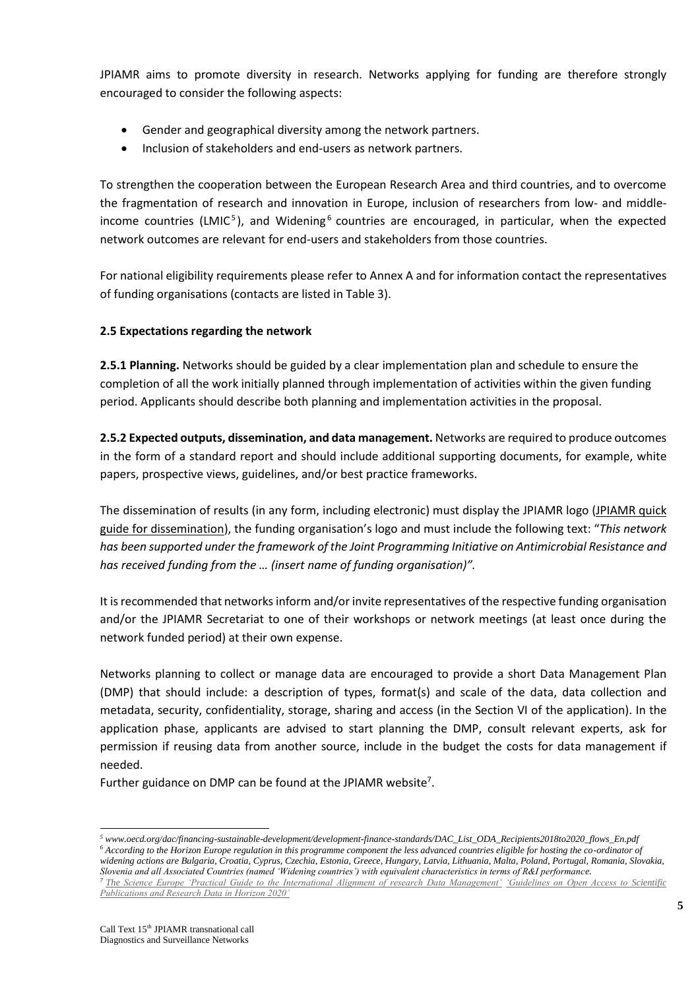JPIAMR aims to promote diversity in research. Networks applying for funding are therefore strongly encouraged to consider the following aspects:

- Gender and geographical diversity among the network partners.
- Inclusion of stakeholders and end-users as network partners.

To strengthen the cooperation between the European Research Area and third countries, and to overcome the fragmentation of research and innovation in Europe, inclusion of researchers from low- and middleincome countries (LMIC<sup>5</sup>), and Widening<sup>6</sup> countries are encouraged, in particular, when the expected network outcomes are relevant for end-users and stakeholders from those countries.

For national eligibility requirements please refer to Annex A and for information contact the representatives of funding organisations (contacts are listed in Table 3).

#### **2.5 Expectations regarding the network**

**2.5.1 Planning.** Networks should be guided by a clear implementation plan and schedule to ensure the completion of all the work initially planned through implementation of activities within the given funding period. Applicants should describe both planning and implementation activities in the proposal.

**2.5.2 Expected outputs, dissemination, and data management.** Networks are required to produce outcomes in the form of a standard report and should include additional supporting documents, for example, white papers, prospective views, guidelines, and/or best practice frameworks.

The dissemination of results (in any form, including electronic) must display the JPIAMR logo [\(JPIAMR quick](https://www.jpiamr.eu/wp-content/uploads/2016/04/AnnexI_QUICK-GUIDE-FOR-DISSEMINATION-OF-THE-JPI-AMR-RESEARCH-PROJECTS-RE....pdf)  [guide for dissemination\)](https://www.jpiamr.eu/wp-content/uploads/2016/04/AnnexI_QUICK-GUIDE-FOR-DISSEMINATION-OF-THE-JPI-AMR-RESEARCH-PROJECTS-RE....pdf), the funding organisation's logo and must include the following text: "*This network has been supported under the framework of the Joint Programming Initiative on Antimicrobial Resistance and has received funding from the … (insert name of funding organisation)".*

It is recommended that networks inform and/or invite representatives of the respective funding organisation and/or the JPIAMR Secretariat to one of their workshops or network meetings (at least once during the network funded period) at their own expense.

Networks planning to collect or manage data are encouraged to provide a short Data Management Plan (DMP) that should include: a description of types, format(s) and scale of the data, data collection and metadata, security, confidentiality, storage, sharing and access (in the Section VI of the application). In the application phase, applicants are advised to start planning the DMP, consult relevant experts, ask for permission if reusing data from another source, include in the budget the costs for data management if needed.

Further guidance on DMP can be found at the JPIAMR website<sup>7</sup>.

*Slovenia and all Associated Countries (named 'Widening countries') with equivalent characteristics in terms of R&I performance.*

1

*<sup>5</sup> www.oecd.org/dac/financing-sustainable-development/development-finance-standards/DAC\_List\_ODA\_Recipients2018to2020\_flows\_En.pdf <sup>6</sup> According to the Horizon Europe regulation in this programme component the less advanced countries eligible for hosting the co-ordinator of widening actions are Bulgaria, Croatia, Cyprus, Czechia, Estonia, Greece, Hungary, Latvia, Lithuania, Malta, Poland, Portugal, Romania, Slovakia,* 

*<sup>7</sup> The [Science Europe 'Practical Guide to the International Alignment of research Data Management'](https://www.scienceeurope.org/media/jezkhnoo/se_rdm_practical_guide_final.pdf) ['Guidelines on Open Access to Scientific](http://ec.europa.eu/research/participants/data/ref/h2020/grants_manual/hi/oa_pilot/h2020-hi-oa-pilot-guide_en.pdf)  [Publications and Research Data in Horizon 2020'](http://ec.europa.eu/research/participants/data/ref/h2020/grants_manual/hi/oa_pilot/h2020-hi-oa-pilot-guide_en.pdf)*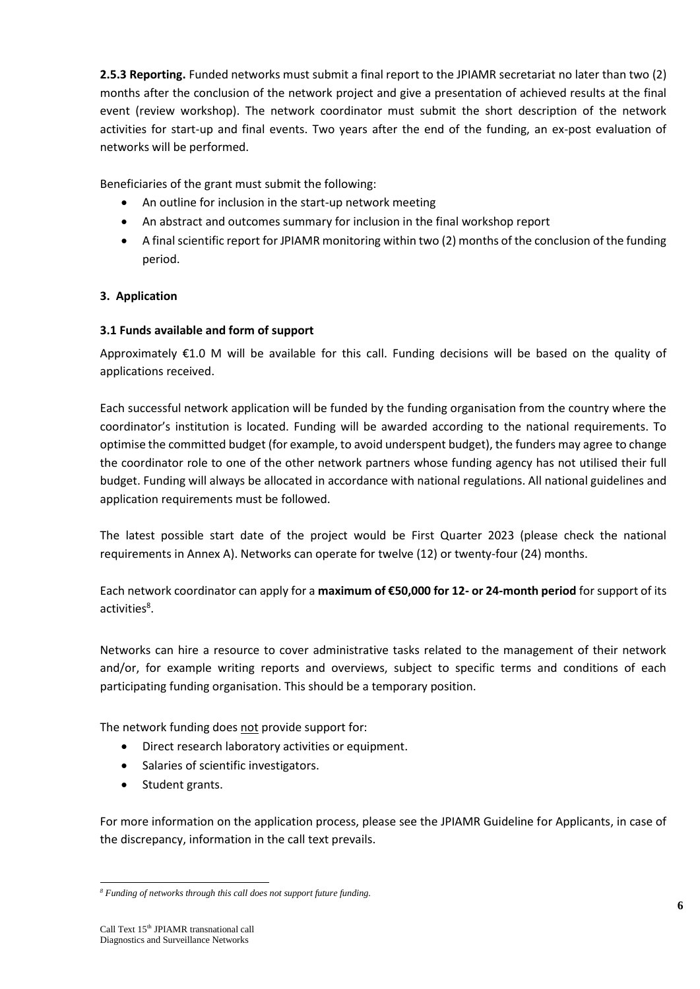**2.5.3 Reporting.** Funded networks must submit a final report to the JPIAMR secretariat no later than two (2) months after the conclusion of the network project and give a presentation of achieved results at the final event (review workshop). The network coordinator must submit the short description of the network activities for start-up and final events. Two years after the end of the funding, an ex-post evaluation of networks will be performed.

Beneficiaries of the grant must submit the following:

- An outline for inclusion in the start-up network meeting
- An abstract and outcomes summary for inclusion in the final workshop report
- A final scientific report for JPIAMR monitoring within two (2) months of the conclusion of the funding period.

# **3. Application**

# **3.1 Funds available and form of support**

Approximately €1.0 M will be available for this call. Funding decisions will be based on the quality of applications received.

Each successful network application will be funded by the funding organisation from the country where the coordinator's institution is located. Funding will be awarded according to the national requirements. To optimise the committed budget (for example, to avoid underspent budget), the funders may agree to change the coordinator role to one of the other network partners whose funding agency has not utilised their full budget. Funding will always be allocated in accordance with national regulations. All national guidelines and application requirements must be followed.

The latest possible start date of the project would be First Quarter 2023 (please check the national requirements in Annex A). Networks can operate for twelve (12) or twenty-four (24) months.

Each network coordinator can apply for a **maximum of €50,000 for 12- or 24-month period** for support of its activities<sup>8</sup>.

Networks can hire a resource to cover administrative tasks related to the management of their network and/or, for example writing reports and overviews, subject to specific terms and conditions of each participating funding organisation. This should be a temporary position.

The network funding does not provide support for:

- Direct research laboratory activities or equipment.
- Salaries of scientific investigators.
- Student grants.

For more information on the application process, please see the JPIAMR Guideline for Applicants, in case of the discrepancy, information in the call text prevails.

<sup>-</sup>*<sup>8</sup> Funding of networks through this call does not support future funding.*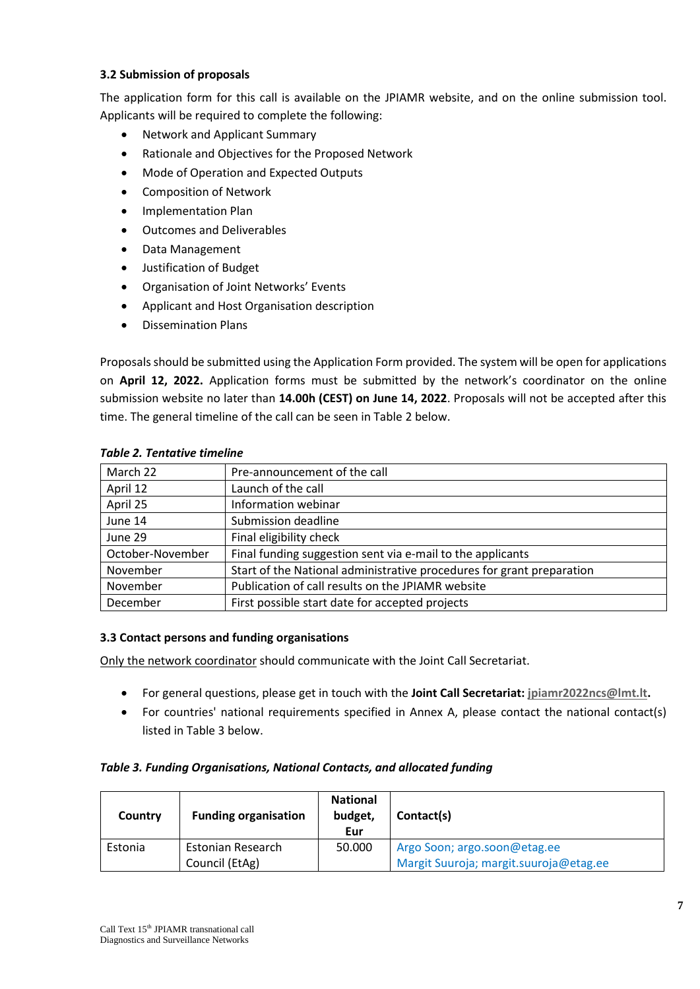#### **3.2 Submission of proposals**

The application form for this call is available on the JPIAMR website, and on the online submission tool. Applicants will be required to complete the following:

- Network and Applicant Summary
- Rationale and Objectives for the Proposed Network
- Mode of Operation and Expected Outputs
- Composition of Network
- Implementation Plan
- Outcomes and Deliverables
- Data Management
- Justification of Budget
- Organisation of Joint Networks' Events
- Applicant and Host Organisation description
- Dissemination Plans

Proposals should be submitted using the Application Form provided. The system will be open for applications on **April 12, 2022.** Application forms must be submitted by the network's coordinator on the online submission website no later than **14.00h (CEST) on June 14, 2022**. Proposals will not be accepted after this time. The general timeline of the call can be seen in Table 2 below.

| March 22         | Pre-announcement of the call                                          |
|------------------|-----------------------------------------------------------------------|
| April 12         | Launch of the call                                                    |
| April 25         | Information webinar                                                   |
| June 14          | Submission deadline                                                   |
| June 29          | Final eligibility check                                               |
| October-November | Final funding suggestion sent via e-mail to the applicants            |
| November         | Start of the National administrative procedures for grant preparation |
| November         | Publication of call results on the JPIAMR website                     |
| December         | First possible start date for accepted projects                       |
|                  |                                                                       |

#### *Table 2. Tentative timeline*

#### **3.3 Contact persons and funding organisations**

Only the network coordinator should communicate with the Joint Call Secretariat.

- For general questions, please get in touch with the **Joint Call Secretariat: [jpiamr2022ncs@lmt.lt.](mailto:jpiamr2022ncs@lmt.lt)**
- For countries' national requirements specified in Annex A, please contact the national contact(s) listed in Table 3 below.

#### *Table 3. Funding Organisations, National Contacts, and allocated funding*

| Country | <b>Funding organisation</b> | <b>National</b><br>budget,<br>Eur | Contact(s)                             |
|---------|-----------------------------|-----------------------------------|----------------------------------------|
| Estonia | Estonian Research           | 50.000                            | Argo Soon; argo.soon@etag.ee           |
|         | Council (EtAg)              |                                   | Margit Suuroja; margit.suuroja@etag.ee |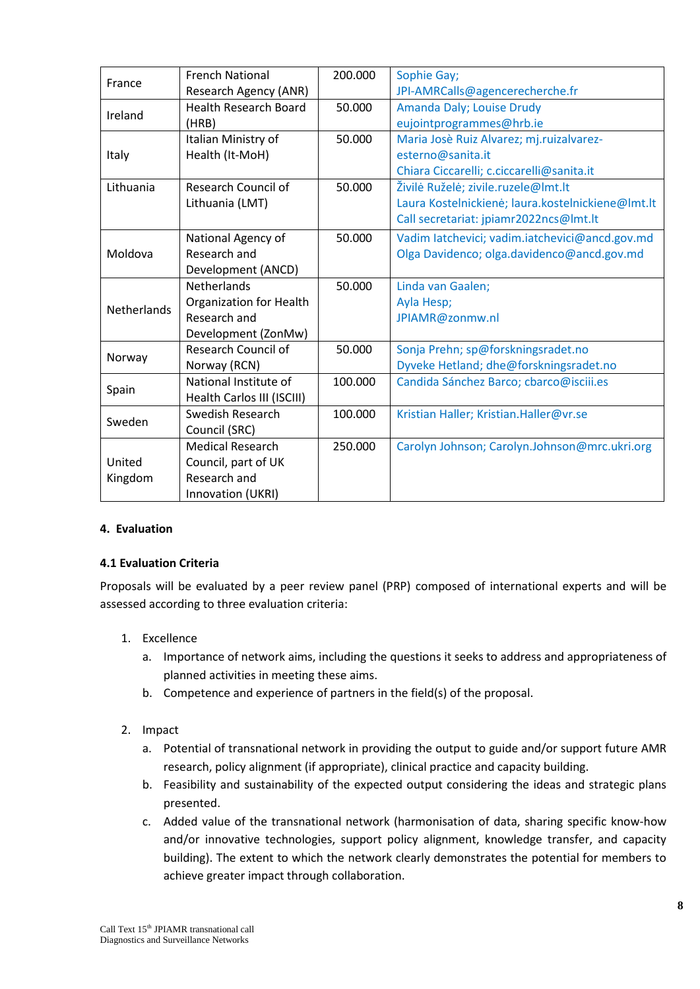|                    | <b>French National</b>         | 200.000 | Sophie Gay;                                       |
|--------------------|--------------------------------|---------|---------------------------------------------------|
| France             | Research Agency (ANR)          |         | JPI-AMRCalls@agencerecherche.fr                   |
|                    | <b>Health Research Board</b>   | 50.000  | Amanda Daly; Louise Drudy                         |
| Ireland            | (HRB)                          |         | eujointprogrammes@hrb.ie                          |
|                    | Italian Ministry of            | 50.000  | Maria Josè Ruiz Alvarez; mj.ruizalvarez-          |
| Italy              | Health (It-MoH)                |         | esterno@sanita.it                                 |
|                    |                                |         | Chiara Ciccarelli; c.ciccarelli@sanita.it         |
| Lithuania          | <b>Research Council of</b>     | 50.000  | Živilė Ruželė; zivile.ruzele@lmt.lt               |
|                    | Lithuania (LMT)                |         | Laura Kostelnickienė; laura.kostelnickiene@lmt.lt |
|                    |                                |         | Call secretariat: jpiamr2022ncs@lmt.lt            |
|                    | National Agency of             | 50.000  | Vadim latchevici; vadim.iatchevici@ancd.gov.md    |
| Moldova            | Research and                   |         | Olga Davidenco; olga.davidenco@ancd.gov.md        |
|                    | Development (ANCD)             |         |                                                   |
|                    | <b>Netherlands</b>             | 50.000  | Linda van Gaalen;                                 |
| <b>Netherlands</b> | <b>Organization for Health</b> |         | Ayla Hesp;                                        |
|                    | Research and                   |         | JPIAMR@zonmw.nl                                   |
|                    | Development (ZonMw)            |         |                                                   |
|                    | <b>Research Council of</b>     | 50.000  | Sonja Prehn; sp@forskningsradet.no                |
| Norway             | Norway (RCN)                   |         | Dyveke Hetland; dhe@forskningsradet.no            |
| Spain              | National Institute of          | 100.000 | Candida Sánchez Barco; cbarco@isciii.es           |
|                    | Health Carlos III (ISCIII)     |         |                                                   |
| Sweden             | Swedish Research               | 100.000 | Kristian Haller; Kristian.Haller@vr.se            |
|                    | Council (SRC)                  |         |                                                   |
|                    | <b>Medical Research</b>        | 250.000 | Carolyn Johnson; Carolyn.Johnson@mrc.ukri.org     |
| United             | Council, part of UK            |         |                                                   |
| Kingdom            | Research and                   |         |                                                   |
|                    | Innovation (UKRI)              |         |                                                   |

#### **4. Evaluation**

#### **4.1 Evaluation Criteria**

Proposals will be evaluated by a peer review panel (PRP) composed of international experts and will be assessed according to three evaluation criteria:

- 1. Excellence
	- a. Importance of network aims, including the questions it seeks to address and appropriateness of planned activities in meeting these aims.
	- b. Competence and experience of partners in the field(s) of the proposal.
- 2. Impact
	- a. Potential of transnational network in providing the output to guide and/or support future AMR research, policy alignment (if appropriate), clinical practice and capacity building.
	- b. Feasibility and sustainability of the expected output considering the ideas and strategic plans presented.
	- c. Added value of the transnational network (harmonisation of data, sharing specific know-how and/or innovative technologies, support policy alignment, knowledge transfer, and capacity building). The extent to which the network clearly demonstrates the potential for members to achieve greater impact through collaboration.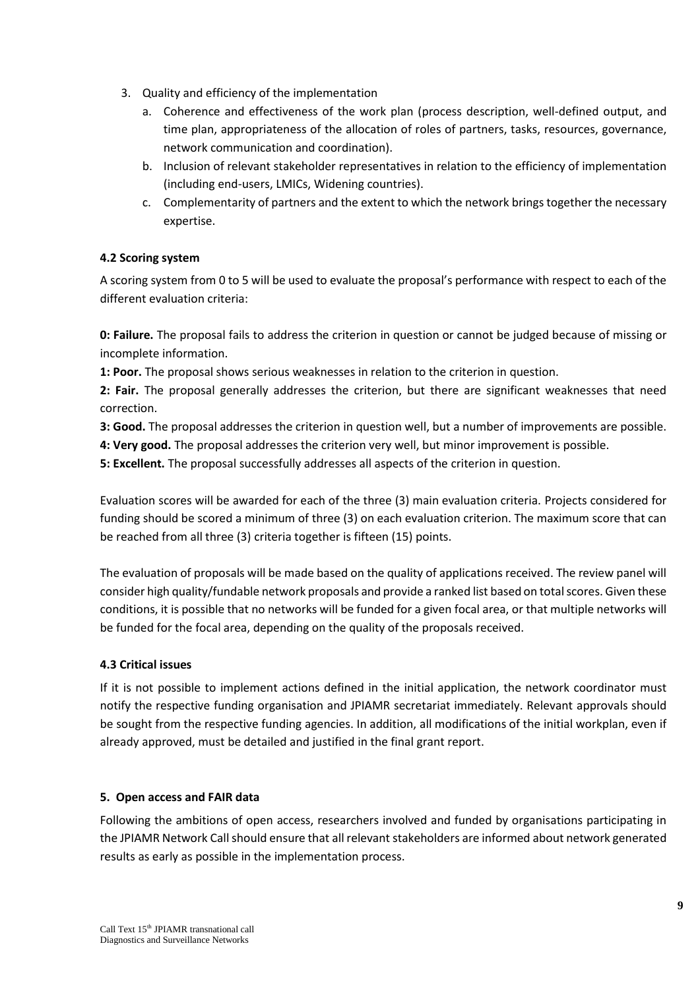- 3. Quality and efficiency of the implementation
	- a. Coherence and effectiveness of the work plan (process description, well-defined output, and time plan, appropriateness of the allocation of roles of partners, tasks, resources, governance, network communication and coordination).
	- b. Inclusion of relevant stakeholder representatives in relation to the efficiency of implementation (including end-users, LMICs, Widening countries).
	- c. Complementarity of partners and the extent to which the network brings together the necessary expertise.

# **4.2 Scoring system**

A scoring system from 0 to 5 will be used to evaluate the proposal's performance with respect to each of the different evaluation criteria:

**0: Failure.** The proposal fails to address the criterion in question or cannot be judged because of missing or incomplete information.

**1: Poor.** The proposal shows serious weaknesses in relation to the criterion in question.

**2: Fair.** The proposal generally addresses the criterion, but there are significant weaknesses that need correction.

**3: Good.** The proposal addresses the criterion in question well, but a number of improvements are possible.

**4: Very good.** The proposal addresses the criterion very well, but minor improvement is possible.

**5: Excellent.** The proposal successfully addresses all aspects of the criterion in question.

Evaluation scores will be awarded for each of the three (3) main evaluation criteria. Projects considered for funding should be scored a minimum of three (3) on each evaluation criterion. The maximum score that can be reached from all three (3) criteria together is fifteen (15) points.

The evaluation of proposals will be made based on the quality of applications received. The review panel will consider high quality/fundable network proposals and provide a ranked list based on total scores. Given these conditions, it is possible that no networks will be funded for a given focal area, or that multiple networks will be funded for the focal area, depending on the quality of the proposals received.

#### **4.3 Critical issues**

If it is not possible to implement actions defined in the initial application, the network coordinator must notify the respective funding organisation and JPIAMR secretariat immediately. Relevant approvals should be sought from the respective funding agencies. In addition, all modifications of the initial workplan, even if already approved, must be detailed and justified in the final grant report.

#### **5. Open access and FAIR data**

Following the ambitions of open access, researchers involved and funded by organisations participating in the JPIAMR Network Call should ensure that all relevant stakeholders are informed about network generated results as early as possible in the implementation process.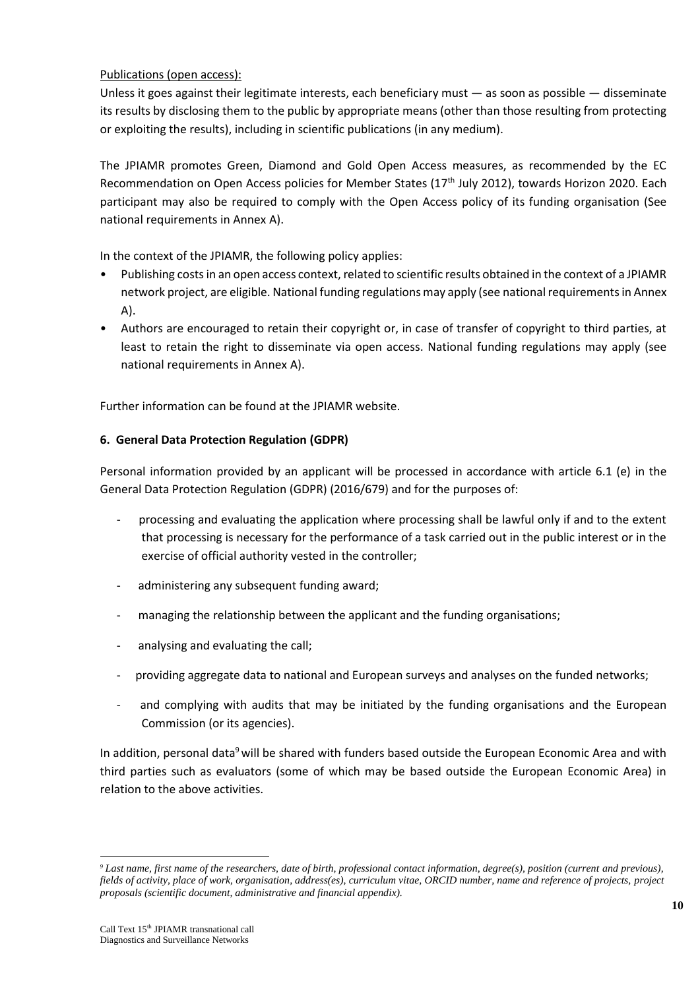#### Publications (open access):

Unless it goes against their legitimate interests, each beneficiary must  $-$  as soon as possible  $-$  disseminate its results by disclosing them to the public by appropriate means (other than those resulting from protecting or exploiting the results), including in scientific publications (in any medium).

The JPIAMR promotes Green, Diamond and Gold Open Access measures, as recommended by the EC Recommendation on Open Access policies for Member States (17<sup>th</sup> July 2012), towards Horizon 2020. Each participant may also be required to comply with the Open Access policy of its funding organisation (See national requirements in Annex A).

In the context of the JPIAMR, the following policy applies:

- Publishing costs in an open access context, related to scientific results obtained in the context of a JPIAMR network project, are eligible. National funding regulations may apply (see national requirements in Annex A).
- Authors are encouraged to retain their copyright or, in case of transfer of copyright to third parties, at least to retain the right to disseminate via open access. National funding regulations may apply (see national requirements in Annex A).

Further information can be found at the JPIAMR website.

# **6. General Data Protection Regulation (GDPR)**

Personal information provided by an applicant will be processed in accordance with article 6.1 (e) in the General Data Protection Regulation (GDPR) (2016/679) and for the purposes of:

- processing and evaluating the application where processing shall be lawful only if and to the extent that processing is necessary for the performance of a task carried out in the public interest or in the exercise of official authority vested in the controller;
- administering any subsequent funding award;
- managing the relationship between the applicant and the funding organisations;
- analysing and evaluating the call;
- providing aggregate data to national and European surveys and analyses on the funded networks;
- and complying with audits that may be initiated by the funding organisations and the European Commission (or its agencies).

In addition, personal data<sup>9</sup> will be shared with funders based outside the European Economic Area and with third parties such as evaluators (some of which may be based outside the European Economic Area) in relation to the above activities.

-

*<sup>9</sup> Last name, first name of the researchers, date of birth, professional contact information, degree(s), position (current and previous), fields of activity, place of work, organisation, address(es), curriculum vitae, ORCID number, name and reference of projects, project proposals (scientific document, administrative and financial appendix).*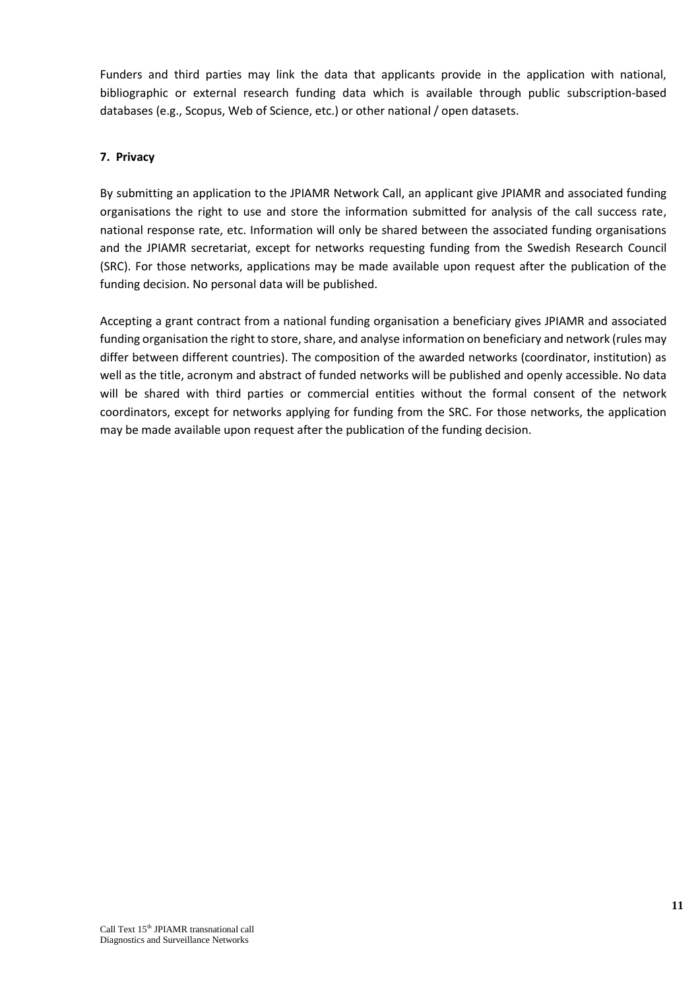Funders and third parties may link the data that applicants provide in the application with national, bibliographic or external research funding data which is available through public subscription-based databases (e.g., Scopus, Web of Science, etc.) or other national / open datasets.

#### **7. Privacy**

By submitting an application to the JPIAMR Network Call, an applicant give JPIAMR and associated funding organisations the right to use and store the information submitted for analysis of the call success rate, national response rate, etc. Information will only be shared between the associated funding organisations and the JPIAMR secretariat, except for networks requesting funding from the Swedish Research Council (SRC). For those networks, applications may be made available upon request after the publication of the funding decision. No personal data will be published.

Accepting a grant contract from a national funding organisation a beneficiary gives JPIAMR and associated funding organisation the right to store, share, and analyse information on beneficiary and network (rules may differ between different countries). The composition of the awarded networks (coordinator, institution) as well as the title, acronym and abstract of funded networks will be published and openly accessible. No data will be shared with third parties or commercial entities without the formal consent of the network coordinators, except for networks applying for funding from the SRC. For those networks, the application may be made available upon request after the publication of the funding decision.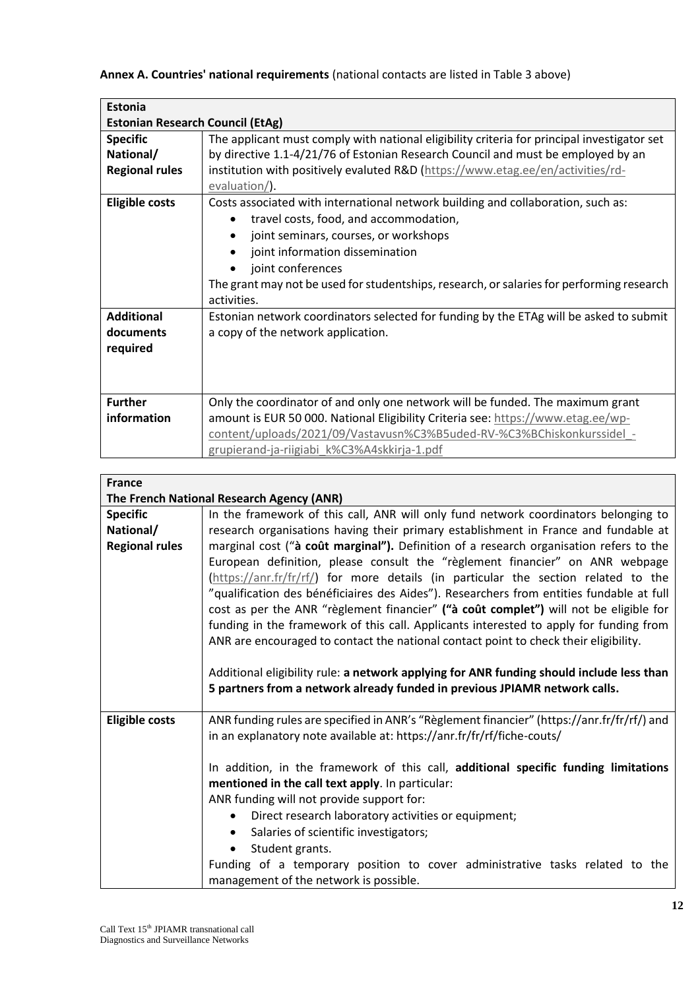# **Annex A. Countries' national requirements** (national contacts are listed in Table 3 above)

| <b>Estonia</b>                          |                                                                                                  |
|-----------------------------------------|--------------------------------------------------------------------------------------------------|
| <b>Estonian Research Council (EtAg)</b> |                                                                                                  |
| <b>Specific</b>                         | The applicant must comply with national eligibility criteria for principal investigator set      |
| National/                               | by directive 1.1-4/21/76 of Estonian Research Council and must be employed by an                 |
| <b>Regional rules</b>                   | institution with positively evaluted R&D (https://www.etag.ee/en/activities/rd-<br>evaluation/). |
| <b>Eligible costs</b>                   | Costs associated with international network building and collaboration, such as:                 |
|                                         | travel costs, food, and accommodation,                                                           |
|                                         | joint seminars, courses, or workshops<br>$\bullet$                                               |
|                                         | joint information dissemination<br>٠                                                             |
|                                         | joint conferences                                                                                |
|                                         | The grant may not be used for studentships, research, or salaries for performing research        |
|                                         | activities.                                                                                      |
| <b>Additional</b>                       | Estonian network coordinators selected for funding by the ETAg will be asked to submit           |
| documents                               | a copy of the network application.                                                               |
| required                                |                                                                                                  |
|                                         |                                                                                                  |
|                                         |                                                                                                  |
| <b>Further</b>                          | Only the coordinator of and only one network will be funded. The maximum grant                   |
| information                             | amount is EUR 50 000. National Eligibility Criteria see: https://www.etag.ee/wp-                 |
|                                         | content/uploads/2021/09/Vastavusn%C3%B5uded-RV-%C3%BChiskonkurssidel -                           |
|                                         | grupierand-ja-riigiabi k%C3%A4skkirja-1.pdf                                                      |

| <b>France</b>         |                                                                                            |
|-----------------------|--------------------------------------------------------------------------------------------|
|                       | The French National Research Agency (ANR)                                                  |
| <b>Specific</b>       | In the framework of this call, ANR will only fund network coordinators belonging to        |
| National/             | research organisations having their primary establishment in France and fundable at        |
| <b>Regional rules</b> | marginal cost ("à coût marginal"). Definition of a research organisation refers to the     |
|                       | European definition, please consult the "règlement financier" on ANR webpage               |
|                       | (https://anr.fr/fr/rf/) for more details (in particular the section related to the         |
|                       | "qualification des bénéficiaires des Aides"). Researchers from entities fundable at full   |
|                       | cost as per the ANR "règlement financier" ("à coût complet") will not be eligible for      |
|                       | funding in the framework of this call. Applicants interested to apply for funding from     |
|                       | ANR are encouraged to contact the national contact point to check their eligibility.       |
|                       |                                                                                            |
|                       | Additional eligibility rule: a network applying for ANR funding should include less than   |
|                       | 5 partners from a network already funded in previous JPIAMR network calls.                 |
| <b>Eligible costs</b> | ANR funding rules are specified in ANR's "Règlement financier" (https://anr.fr/fr/rf/) and |
|                       | in an explanatory note available at: https://anr.fr/fr/rf/fiche-couts/                     |
|                       |                                                                                            |
|                       | In addition, in the framework of this call, additional specific funding limitations        |
|                       | mentioned in the call text apply. In particular:                                           |
|                       | ANR funding will not provide support for:                                                  |
|                       | Direct research laboratory activities or equipment;<br>$\bullet$                           |
|                       | Salaries of scientific investigators;<br>٠                                                 |
|                       | Student grants.                                                                            |
|                       | Funding of a temporary position to cover administrative tasks related to the               |
|                       | management of the network is possible.                                                     |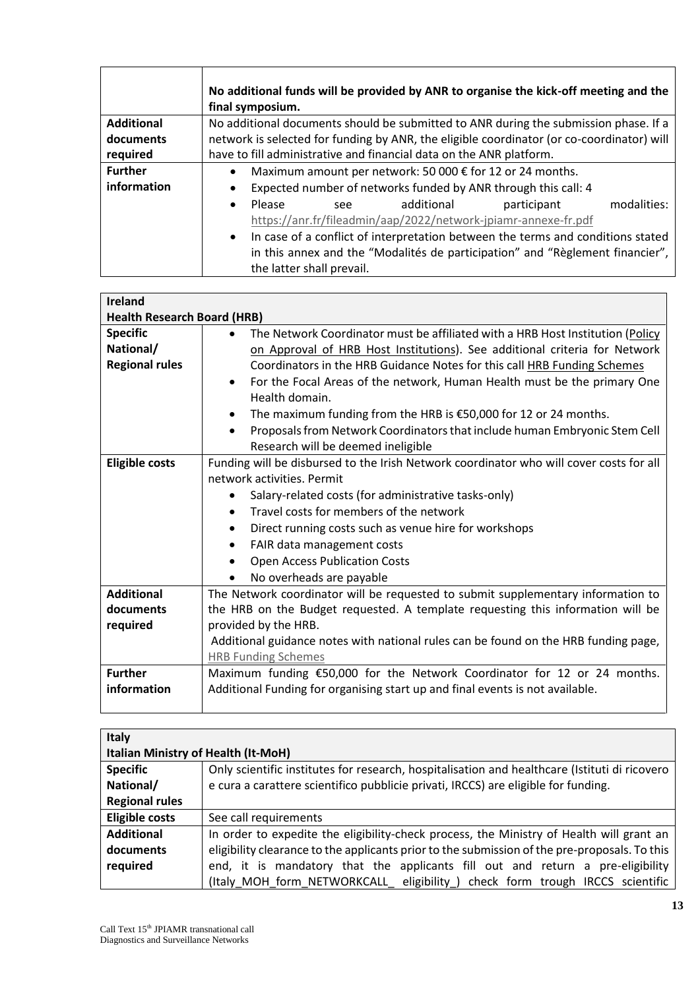|                   | No additional funds will be provided by ANR to organise the kick-off meeting and the<br>final symposium. |  |  |
|-------------------|----------------------------------------------------------------------------------------------------------|--|--|
| <b>Additional</b> | No additional documents should be submitted to ANR during the submission phase. If a                     |  |  |
| documents         | network is selected for funding by ANR, the eligible coordinator (or co-coordinator) will                |  |  |
| required          | have to fill administrative and financial data on the ANR platform.                                      |  |  |
| <b>Further</b>    | Maximum amount per network: 50 000 € for 12 or 24 months.<br>$\bullet$                                   |  |  |
| information       | Expected number of networks funded by ANR through this call: 4<br>$\bullet$                              |  |  |
|                   | modalities:<br>Please<br>additional<br>participant<br>$\bullet$<br>see                                   |  |  |
|                   | https://anr.fr/fileadmin/aap/2022/network-jpiamr-annexe-fr.pdf                                           |  |  |
|                   | In case of a conflict of interpretation between the terms and conditions stated<br>$\bullet$             |  |  |
|                   | in this annex and the "Modalités de participation" and "Règlement financier",                            |  |  |
|                   | the latter shall prevail.                                                                                |  |  |

| <b>Ireland</b>                                        |                                                                                                                                                                                                                                                                                                                                                                                                                                                                                                                                                                       |
|-------------------------------------------------------|-----------------------------------------------------------------------------------------------------------------------------------------------------------------------------------------------------------------------------------------------------------------------------------------------------------------------------------------------------------------------------------------------------------------------------------------------------------------------------------------------------------------------------------------------------------------------|
| <b>Health Research Board (HRB)</b>                    |                                                                                                                                                                                                                                                                                                                                                                                                                                                                                                                                                                       |
| <b>Specific</b><br>National/<br><b>Regional rules</b> | The Network Coordinator must be affiliated with a HRB Host Institution (Policy<br>on Approval of HRB Host Institutions). See additional criteria for Network<br>Coordinators in the HRB Guidance Notes for this call HRB Funding Schemes<br>For the Focal Areas of the network, Human Health must be the primary One<br>$\bullet$<br>Health domain.<br>The maximum funding from the HRB is €50,000 for 12 or 24 months.<br>$\bullet$<br>Proposals from Network Coordinators that include human Embryonic Stem Cell<br>$\bullet$<br>Research will be deemed ineligible |
| <b>Eligible costs</b>                                 | Funding will be disbursed to the Irish Network coordinator who will cover costs for all<br>network activities. Permit<br>Salary-related costs (for administrative tasks-only)<br>$\bullet$<br>Travel costs for members of the network<br>$\bullet$<br>Direct running costs such as venue hire for workshops<br>٠<br>FAIR data management costs<br>$\bullet$<br><b>Open Access Publication Costs</b><br>No overheads are payable                                                                                                                                       |
| <b>Additional</b><br>documents<br>required            | The Network coordinator will be requested to submit supplementary information to<br>the HRB on the Budget requested. A template requesting this information will be<br>provided by the HRB.<br>Additional guidance notes with national rules can be found on the HRB funding page,<br><b>HRB Funding Schemes</b>                                                                                                                                                                                                                                                      |
| <b>Further</b><br>information                         | Maximum funding €50,000 for the Network Coordinator for 12 or 24 months.<br>Additional Funding for organising start up and final events is not available.                                                                                                                                                                                                                                                                                                                                                                                                             |

| Italy                                      |                                                                                               |  |  |
|--------------------------------------------|-----------------------------------------------------------------------------------------------|--|--|
| <b>Italian Ministry of Health (It-MoH)</b> |                                                                                               |  |  |
| <b>Specific</b>                            | Only scientific institutes for research, hospitalisation and healthcare (Istituti di ricovero |  |  |
| National/                                  | e cura a carattere scientifico pubblicie privati, IRCCS) are eligible for funding.            |  |  |
| <b>Regional rules</b>                      |                                                                                               |  |  |
| <b>Eligible costs</b>                      | See call requirements                                                                         |  |  |
| <b>Additional</b>                          | In order to expedite the eligibility-check process, the Ministry of Health will grant an      |  |  |
| documents                                  | eligibility clearance to the applicants prior to the submission of the pre-proposals. To this |  |  |
| required                                   | end, it is mandatory that the applicants fill out and return a pre-eligibility                |  |  |
|                                            | (Italy_MOH_form_NETWORKCALL_ eligibility_) check form trough IRCCS scientific                 |  |  |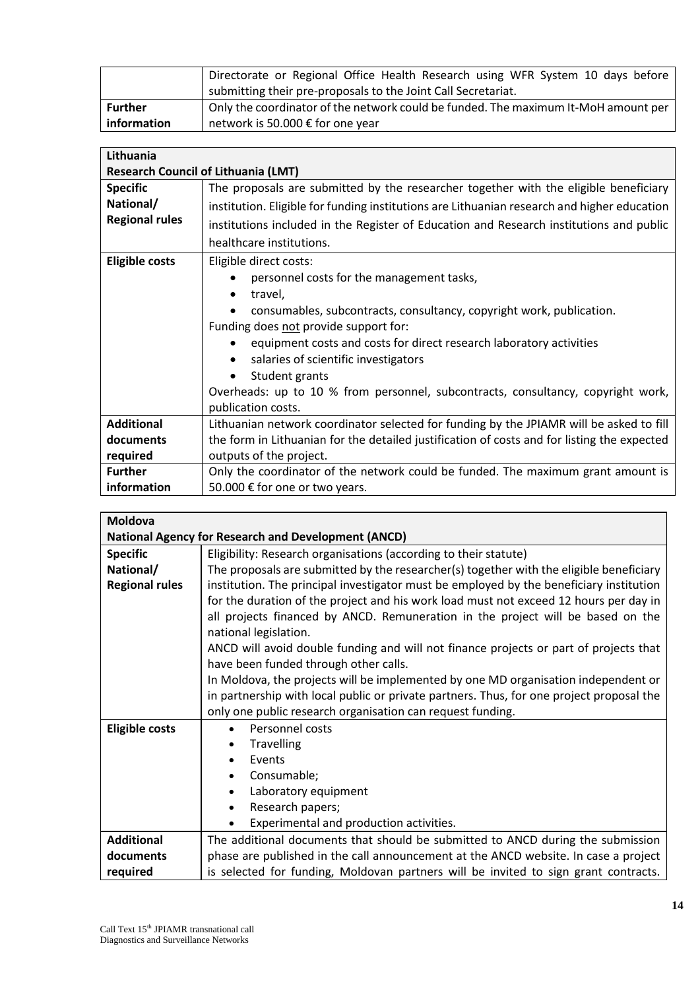|                | Directorate or Regional Office Health Research using WFR System 10 days before     |
|----------------|------------------------------------------------------------------------------------|
|                | submitting their pre-proposals to the Joint Call Secretariat.                      |
| <b>Further</b> | Only the coordinator of the network could be funded. The maximum It-MoH amount per |
| information    | network is 50.000 € for one year                                                   |

| Lithuania             |                                                                                             |  |  |
|-----------------------|---------------------------------------------------------------------------------------------|--|--|
|                       |                                                                                             |  |  |
|                       | <b>Research Council of Lithuania (LMT)</b>                                                  |  |  |
| <b>Specific</b>       | The proposals are submitted by the researcher together with the eligible beneficiary        |  |  |
| National/             | institution. Eligible for funding institutions are Lithuanian research and higher education |  |  |
| <b>Regional rules</b> | institutions included in the Register of Education and Research institutions and public     |  |  |
|                       | healthcare institutions.                                                                    |  |  |
| <b>Eligible costs</b> | Eligible direct costs:                                                                      |  |  |
|                       | personnel costs for the management tasks,                                                   |  |  |
|                       | travel,<br>٠                                                                                |  |  |
|                       | consumables, subcontracts, consultancy, copyright work, publication.                        |  |  |
|                       | Funding does not provide support for:                                                       |  |  |
|                       | equipment costs and costs for direct research laboratory activities<br>$\bullet$            |  |  |
|                       | salaries of scientific investigators<br>$\bullet$                                           |  |  |
|                       | Student grants                                                                              |  |  |
|                       | Overheads: up to 10 % from personnel, subcontracts, consultancy, copyright work,            |  |  |
|                       | publication costs.                                                                          |  |  |
| <b>Additional</b>     | Lithuanian network coordinator selected for funding by the JPIAMR will be asked to fill     |  |  |
| documents             | the form in Lithuanian for the detailed justification of costs and for listing the expected |  |  |
| required              | outputs of the project.                                                                     |  |  |
| <b>Further</b>        | Only the coordinator of the network could be funded. The maximum grant amount is            |  |  |
| information           | 50.000 € for one or two years.                                                              |  |  |

| <b>Moldova</b>                                             |                                                                                          |  |  |
|------------------------------------------------------------|------------------------------------------------------------------------------------------|--|--|
| <b>National Agency for Research and Development (ANCD)</b> |                                                                                          |  |  |
| <b>Specific</b>                                            | Eligibility: Research organisations (according to their statute)                         |  |  |
| National/                                                  | The proposals are submitted by the researcher(s) together with the eligible beneficiary  |  |  |
| <b>Regional rules</b>                                      | institution. The principal investigator must be employed by the beneficiary institution  |  |  |
|                                                            | for the duration of the project and his work load must not exceed 12 hours per day in    |  |  |
|                                                            | all projects financed by ANCD. Remuneration in the project will be based on the          |  |  |
|                                                            | national legislation.                                                                    |  |  |
|                                                            | ANCD will avoid double funding and will not finance projects or part of projects that    |  |  |
|                                                            | have been funded through other calls.                                                    |  |  |
|                                                            | In Moldova, the projects will be implemented by one MD organisation independent or       |  |  |
|                                                            | in partnership with local public or private partners. Thus, for one project proposal the |  |  |
|                                                            | only one public research organisation can request funding.                               |  |  |
| <b>Eligible costs</b>                                      | Personnel costs<br>$\bullet$                                                             |  |  |
|                                                            | Travelling                                                                               |  |  |
|                                                            | Events<br>$\bullet$                                                                      |  |  |
|                                                            | Consumable;                                                                              |  |  |
|                                                            | Laboratory equipment<br>$\bullet$                                                        |  |  |
|                                                            | Research papers;<br>$\bullet$                                                            |  |  |
|                                                            | Experimental and production activities.                                                  |  |  |
| <b>Additional</b>                                          | The additional documents that should be submitted to ANCD during the submission          |  |  |
| documents                                                  | phase are published in the call announcement at the ANCD website. In case a project      |  |  |
| required                                                   | is selected for funding, Moldovan partners will be invited to sign grant contracts.      |  |  |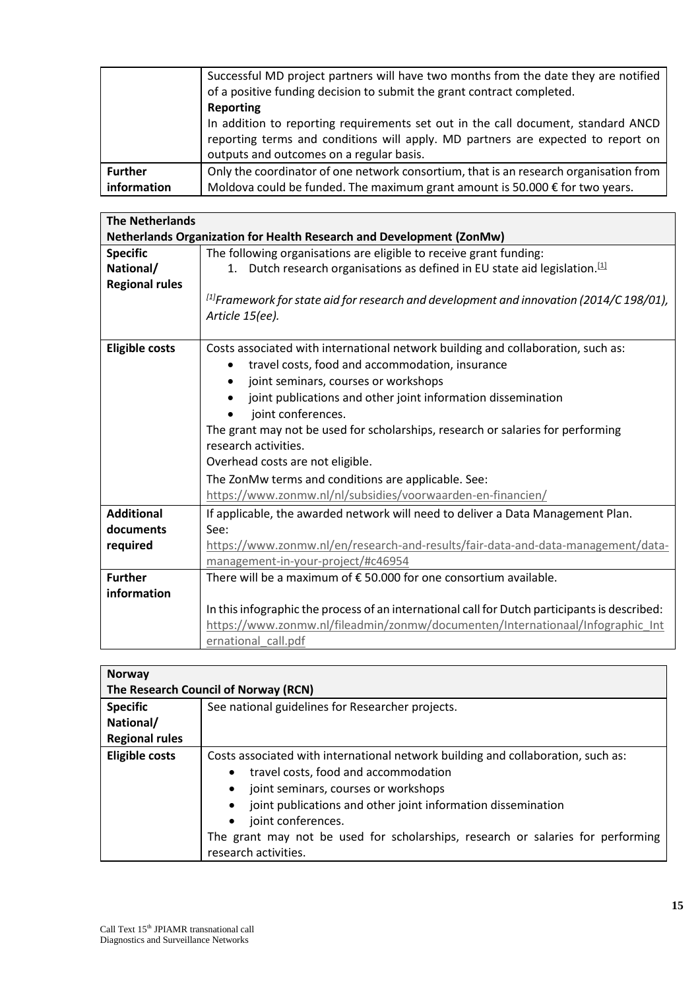|                | Successful MD project partners will have two months from the date they are notified<br>of a positive funding decision to submit the grant contract completed.<br>Reporting<br>In addition to reporting requirements set out in the call document, standard ANCD<br>reporting terms and conditions will apply. MD partners are expected to report on<br>outputs and outcomes on a regular basis. |
|----------------|-------------------------------------------------------------------------------------------------------------------------------------------------------------------------------------------------------------------------------------------------------------------------------------------------------------------------------------------------------------------------------------------------|
| <b>Further</b> | Only the coordinator of one network consortium, that is an research organisation from                                                                                                                                                                                                                                                                                                           |
| information    | Moldova could be funded. The maximum grant amount is $50.000 \in$ for two years.                                                                                                                                                                                                                                                                                                                |

| <b>The Netherlands</b>                                               |                                                                                               |
|----------------------------------------------------------------------|-----------------------------------------------------------------------------------------------|
| Netherlands Organization for Health Research and Development (ZonMw) |                                                                                               |
| <b>Specific</b>                                                      | The following organisations are eligible to receive grant funding:                            |
| National/                                                            | 1. Dutch research organisations as defined in EU state aid legislation. $[1]$                 |
| <b>Regional rules</b>                                                |                                                                                               |
|                                                                      | $^{[1]}$ Framework for state aid for research and development and innovation (2014/C 198/01), |
|                                                                      | Article 15(ee).                                                                               |
| <b>Eligible costs</b>                                                | Costs associated with international network building and collaboration, such as:              |
|                                                                      | travel costs, food and accommodation, insurance                                               |
|                                                                      | joint seminars, courses or workshops                                                          |
|                                                                      | joint publications and other joint information dissemination<br>$\bullet$                     |
|                                                                      | joint conferences.                                                                            |
|                                                                      | The grant may not be used for scholarships, research or salaries for performing               |
|                                                                      | research activities.                                                                          |
|                                                                      | Overhead costs are not eligible.                                                              |
|                                                                      | The ZonMw terms and conditions are applicable. See:                                           |
|                                                                      | https://www.zonmw.nl/nl/subsidies/voorwaarden-en-financien/                                   |
| <b>Additional</b>                                                    | If applicable, the awarded network will need to deliver a Data Management Plan.               |
| documents                                                            | See:                                                                                          |
| required                                                             | https://www.zonmw.nl/en/research-and-results/fair-data-and-data-management/data-              |
|                                                                      | management-in-your-project/#c46954                                                            |
| <b>Further</b>                                                       | There will be a maximum of $\epsilon$ 50.000 for one consortium available.                    |
| information                                                          |                                                                                               |
|                                                                      | In this infographic the process of an international call for Dutch participants is described: |
|                                                                      | https://www.zonmw.nl/fileadmin/zonmw/documenten/Internationaal/Infographic Int                |
|                                                                      | ernational call.pdf                                                                           |

| <b>Norway</b>                        |                                                                                  |
|--------------------------------------|----------------------------------------------------------------------------------|
| The Research Council of Norway (RCN) |                                                                                  |
| <b>Specific</b>                      | See national guidelines for Researcher projects.                                 |
| National/                            |                                                                                  |
| <b>Regional rules</b>                |                                                                                  |
| <b>Eligible costs</b>                | Costs associated with international network building and collaboration, such as: |
|                                      | travel costs, food and accommodation<br>$\bullet$                                |
|                                      | joint seminars, courses or workshops<br>$\bullet$                                |
|                                      | joint publications and other joint information dissemination                     |
|                                      | joint conferences.<br>$\bullet$                                                  |
|                                      | The grant may not be used for scholarships, research or salaries for performing  |
|                                      | research activities.                                                             |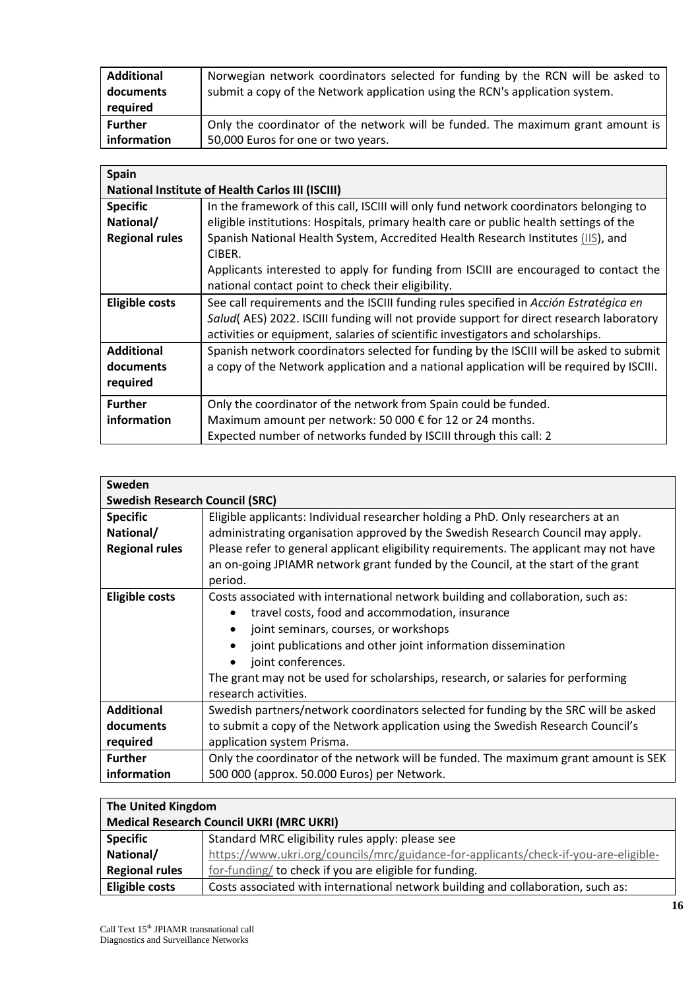| <b>Additional</b> | Norwegian network coordinators selected for funding by the RCN will be asked to |
|-------------------|---------------------------------------------------------------------------------|
| documents         | submit a copy of the Network application using the RCN's application system.    |
| required          |                                                                                 |
| <b>Further</b>    | Only the coordinator of the network will be funded. The maximum grant amount is |
| l information     | 50,000 Euros for one or two years.                                              |

| Spain                                                   |                                                                                          |
|---------------------------------------------------------|------------------------------------------------------------------------------------------|
| <b>National Institute of Health Carlos III (ISCIII)</b> |                                                                                          |
| <b>Specific</b>                                         | In the framework of this call, ISCIII will only fund network coordinators belonging to   |
| National/                                               | eligible institutions: Hospitals, primary health care or public health settings of the   |
| <b>Regional rules</b>                                   | Spanish National Health System, Accredited Health Research Institutes (IIS), and         |
|                                                         | CIBER.                                                                                   |
|                                                         | Applicants interested to apply for funding from ISCIII are encouraged to contact the     |
|                                                         | national contact point to check their eligibility.                                       |
| <b>Eligible costs</b>                                   | See call requirements and the ISCIII funding rules specified in Acción Estratégica en    |
|                                                         | Salud(AES) 2022. ISCIII funding will not provide support for direct research laboratory  |
|                                                         | activities or equipment, salaries of scientific investigators and scholarships.          |
| <b>Additional</b>                                       | Spanish network coordinators selected for funding by the ISCIII will be asked to submit  |
| documents                                               | a copy of the Network application and a national application will be required by ISCIII. |
| required                                                |                                                                                          |
| <b>Further</b>                                          | Only the coordinator of the network from Spain could be funded.                          |
| information                                             | Maximum amount per network: 50 000 € for 12 or 24 months.                                |
|                                                         | Expected number of networks funded by ISCIII through this call: 2                        |

| Sweden                                |                                                                                        |
|---------------------------------------|----------------------------------------------------------------------------------------|
| <b>Swedish Research Council (SRC)</b> |                                                                                        |
| <b>Specific</b>                       | Eligible applicants: Individual researcher holding a PhD. Only researchers at an       |
| National/                             | administrating organisation approved by the Swedish Research Council may apply.        |
| <b>Regional rules</b>                 | Please refer to general applicant eligibility requirements. The applicant may not have |
|                                       | an on-going JPIAMR network grant funded by the Council, at the start of the grant      |
|                                       | period.                                                                                |
| <b>Eligible costs</b>                 | Costs associated with international network building and collaboration, such as:       |
|                                       | travel costs, food and accommodation, insurance                                        |
|                                       | joint seminars, courses, or workshops<br>$\bullet$                                     |
|                                       | joint publications and other joint information dissemination<br>$\bullet$              |
|                                       | joint conferences.                                                                     |
|                                       | The grant may not be used for scholarships, research, or salaries for performing       |
|                                       | research activities.                                                                   |
| <b>Additional</b>                     | Swedish partners/network coordinators selected for funding by the SRC will be asked    |
| documents                             | to submit a copy of the Network application using the Swedish Research Council's       |
| required                              | application system Prisma.                                                             |
| <b>Further</b>                        | Only the coordinator of the network will be funded. The maximum grant amount is SEK    |
| information                           | 500 000 (approx. 50.000 Euros) per Network.                                            |

| The United Kingdom                              |                                                                                      |
|-------------------------------------------------|--------------------------------------------------------------------------------------|
| <b>Medical Research Council UKRI (MRC UKRI)</b> |                                                                                      |
| <b>Specific</b>                                 | Standard MRC eligibility rules apply: please see                                     |
| National/                                       | https://www.ukri.org/councils/mrc/guidance-for-applicants/check-if-you-are-eligible- |
| <b>Regional rules</b>                           | for-funding/ to check if you are eligible for funding.                               |
| <b>Eligible costs</b>                           | Costs associated with international network building and collaboration, such as:     |